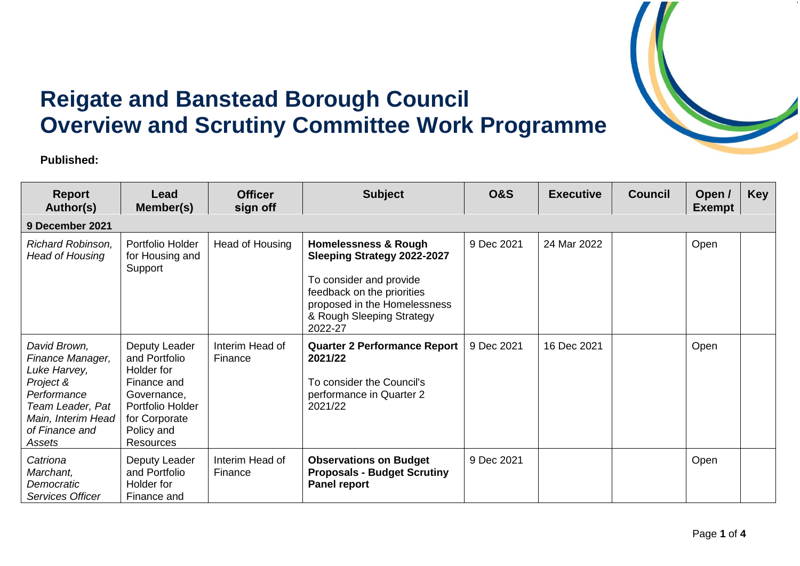

## **Reigate and Banstead Borough Council Overview and Scrutiny Committee Work Programme**

**Published:** 

| <b>Report</b><br>Author(s)                                                                                                                         | Lead<br>Member(s)                                                                                                                          | <b>Officer</b><br>sign off | <b>Subject</b>                                                                                                                                                                                         | <b>O&amp;S</b> | <b>Executive</b> | <b>Council</b> | Open /<br><b>Exempt</b> | <b>Key</b> |
|----------------------------------------------------------------------------------------------------------------------------------------------------|--------------------------------------------------------------------------------------------------------------------------------------------|----------------------------|--------------------------------------------------------------------------------------------------------------------------------------------------------------------------------------------------------|----------------|------------------|----------------|-------------------------|------------|
| 9 December 2021                                                                                                                                    |                                                                                                                                            |                            |                                                                                                                                                                                                        |                |                  |                |                         |            |
| Richard Robinson,<br>Head of Housing                                                                                                               | Portfolio Holder<br>for Housing and<br>Support                                                                                             | Head of Housing            | <b>Homelessness &amp; Rough</b><br><b>Sleeping Strategy 2022-2027</b><br>To consider and provide<br>feedback on the priorities<br>proposed in the Homelessness<br>& Rough Sleeping Strategy<br>2022-27 | 9 Dec 2021     | 24 Mar 2022      |                | Open                    |            |
| David Brown,<br>Finance Manager,<br>Luke Harvey,<br>Project &<br>Performance<br>Team Leader, Pat<br>Main, Interim Head<br>of Finance and<br>Assets | Deputy Leader<br>and Portfolio<br>Holder for<br>Finance and<br>Governance,<br>Portfolio Holder<br>for Corporate<br>Policy and<br>Resources | Interim Head of<br>Finance | <b>Quarter 2 Performance Report</b><br>2021/22<br>To consider the Council's<br>performance in Quarter 2<br>2021/22                                                                                     | 9 Dec 2021     | 16 Dec 2021      |                | Open                    |            |
| Catriona<br>Marchant,<br>Democratic<br>Services Officer                                                                                            | Deputy Leader<br>and Portfolio<br>Holder for<br>Finance and                                                                                | Interim Head of<br>Finance | <b>Observations on Budget</b><br><b>Proposals - Budget Scrutiny</b><br><b>Panel report</b>                                                                                                             | 9 Dec 2021     |                  |                | Open                    |            |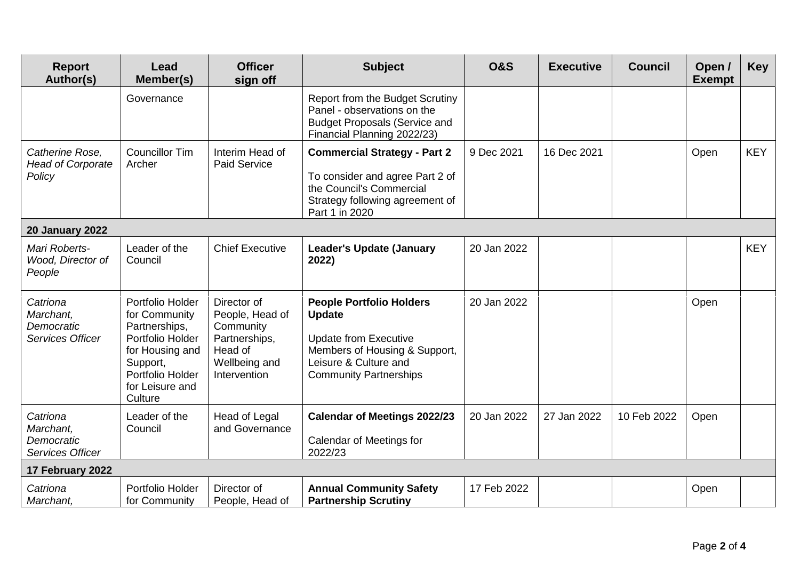| <b>Report</b><br>Author(s)                                     | Lead<br>Member(s)                                                                                                                                       | <b>Officer</b><br>sign off                                                                               | <b>Subject</b>                                                                                                                                                              | <b>O&amp;S</b> | <b>Executive</b> | <b>Council</b> | Open /<br><b>Exempt</b> | <b>Key</b> |  |
|----------------------------------------------------------------|---------------------------------------------------------------------------------------------------------------------------------------------------------|----------------------------------------------------------------------------------------------------------|-----------------------------------------------------------------------------------------------------------------------------------------------------------------------------|----------------|------------------|----------------|-------------------------|------------|--|
|                                                                | Governance                                                                                                                                              |                                                                                                          | Report from the Budget Scrutiny<br>Panel - observations on the<br><b>Budget Proposals (Service and</b><br>Financial Planning 2022/23)                                       |                |                  |                |                         |            |  |
| Catherine Rose,<br><b>Head of Corporate</b><br>Policy          | <b>Councillor Tim</b><br>Archer                                                                                                                         | Interim Head of<br><b>Paid Service</b>                                                                   | <b>Commercial Strategy - Part 2</b><br>To consider and agree Part 2 of<br>the Council's Commercial<br>Strategy following agreement of<br>Part 1 in 2020                     | 9 Dec 2021     | 16 Dec 2021      |                | Open                    | <b>KEY</b> |  |
| <b>20 January 2022</b>                                         |                                                                                                                                                         |                                                                                                          |                                                                                                                                                                             |                |                  |                |                         |            |  |
| Mari Roberts-<br>Wood, Director of<br>People                   | Leader of the<br>Council                                                                                                                                | <b>Chief Executive</b>                                                                                   | <b>Leader's Update (January</b><br>2022)                                                                                                                                    | 20 Jan 2022    |                  |                |                         | <b>KEY</b> |  |
| Catriona<br>Marchant,<br>Democratic<br><b>Services Officer</b> | Portfolio Holder<br>for Community<br>Partnerships,<br>Portfolio Holder<br>for Housing and<br>Support,<br>Portfolio Holder<br>for Leisure and<br>Culture | Director of<br>People, Head of<br>Community<br>Partnerships,<br>Head of<br>Wellbeing and<br>Intervention | <b>People Portfolio Holders</b><br><b>Update</b><br><b>Update from Executive</b><br>Members of Housing & Support,<br>Leisure & Culture and<br><b>Community Partnerships</b> | 20 Jan 2022    |                  |                | Open                    |            |  |
| Catriona<br>Marchant,<br>Democratic<br>Services Officer        | Leader of the<br>Council                                                                                                                                | Head of Legal<br>and Governance                                                                          | <b>Calendar of Meetings 2022/23</b><br>Calendar of Meetings for<br>2022/23                                                                                                  | 20 Jan 2022    | 27 Jan 2022      | 10 Feb 2022    | Open                    |            |  |
| 17 February 2022                                               |                                                                                                                                                         |                                                                                                          |                                                                                                                                                                             |                |                  |                |                         |            |  |
| Catriona<br>Marchant,                                          | Portfolio Holder<br>for Community                                                                                                                       | Director of<br>People, Head of                                                                           | <b>Annual Community Safety</b><br><b>Partnership Scrutiny</b>                                                                                                               | 17 Feb 2022    |                  |                | Open                    |            |  |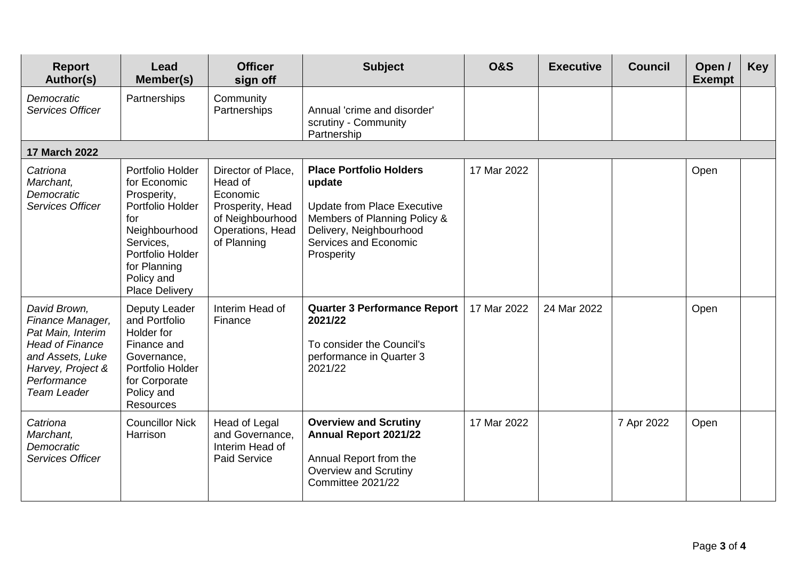| <b>Report</b><br>Author(s)                                                                                                                                    | Lead<br>Member(s)                                                                                                                                                                   | <b>Officer</b><br>sign off                                                                                           | <b>Subject</b>                                                                                                                                                                   | <b>O&amp;S</b> | <b>Executive</b> | <b>Council</b> | Open /<br><b>Exempt</b> | <b>Key</b> |
|---------------------------------------------------------------------------------------------------------------------------------------------------------------|-------------------------------------------------------------------------------------------------------------------------------------------------------------------------------------|----------------------------------------------------------------------------------------------------------------------|----------------------------------------------------------------------------------------------------------------------------------------------------------------------------------|----------------|------------------|----------------|-------------------------|------------|
| Democratic<br>Services Officer                                                                                                                                | Partnerships                                                                                                                                                                        | Community<br>Partnerships                                                                                            | Annual 'crime and disorder'<br>scrutiny - Community<br>Partnership                                                                                                               |                |                  |                |                         |            |
| <b>17 March 2022</b>                                                                                                                                          |                                                                                                                                                                                     |                                                                                                                      |                                                                                                                                                                                  |                |                  |                |                         |            |
| Catriona<br>Marchant,<br>Democratic<br>Services Officer                                                                                                       | Portfolio Holder<br>for Economic<br>Prosperity,<br>Portfolio Holder<br>for<br>Neighbourhood<br>Services,<br>Portfolio Holder<br>for Planning<br>Policy and<br><b>Place Delivery</b> | Director of Place,<br>Head of<br>Economic<br>Prosperity, Head<br>of Neighbourhood<br>Operations, Head<br>of Planning | <b>Place Portfolio Holders</b><br>update<br><b>Update from Place Executive</b><br>Members of Planning Policy &<br>Delivery, Neighbourhood<br>Services and Economic<br>Prosperity | 17 Mar 2022    |                  |                | Open                    |            |
| David Brown,<br>Finance Manager,<br>Pat Main, Interim<br><b>Head of Finance</b><br>and Assets, Luke<br>Harvey, Project &<br>Performance<br><b>Team Leader</b> | Deputy Leader<br>and Portfolio<br>Holder for<br>Finance and<br>Governance,<br>Portfolio Holder<br>for Corporate<br>Policy and<br><b>Resources</b>                                   | Interim Head of<br>Finance                                                                                           | <b>Quarter 3 Performance Report</b><br>2021/22<br>To consider the Council's<br>performance in Quarter 3<br>2021/22                                                               | 17 Mar 2022    | 24 Mar 2022      |                | Open                    |            |
| Catriona<br>Marchant,<br>Democratic<br>Services Officer                                                                                                       | <b>Councillor Nick</b><br>Harrison                                                                                                                                                  | Head of Legal<br>and Governance,<br>Interim Head of<br><b>Paid Service</b>                                           | <b>Overview and Scrutiny</b><br><b>Annual Report 2021/22</b><br>Annual Report from the<br><b>Overview and Scrutiny</b><br>Committee 2021/22                                      | 17 Mar 2022    |                  | 7 Apr 2022     | Open                    |            |